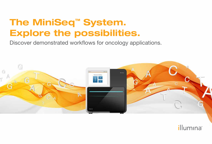# The MiniSeq™ System. Explore the possibilities.

Discover demonstrated workflows for oncology applications.



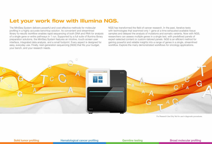### Let your work flow with Illumina NGS.

The MiniSeq System delivers powerful and cost-effective methods for molecular profiling in a highly accurate benchtop solution. Its convenient and streamlined library-to-results workflow enables rapid sequencing of both DNA and RNA for analysis of a single gene or entire pathways in 1 run. Supported by a full suite of Illumina library preparation solutions, the MiniSeq System features an intuitive, touch-screen user interface, integrated data analysis, and a small footprint. Every aspect is designed for easy, everyday use. Finally, next-generation sequencing (NGS) that fits your budget, your bench, and your research needs.

NGS has transformed the field of cancer research. In the past, iterative tests with technologies that examined only 1 gene at a time exhausted available tissue samples and delayed the analysis of mutations and somatic variants. Now with NGS, researchers can assess multiple genes in a single test, with predefined panels of expert-selected content or custom-tailored panels. NGS is an efficient method for gaining powerful and reliable insights into a range of genes in a single, streamlined workflow. Explore the many demonstrated workflows for oncology applications.



For Research Use Only. Not for use in diagnostic procedures.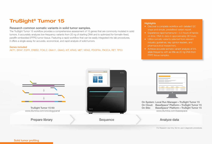# TruSight® Tumor 15

#### Research common somatic variants in solid tumor samples.

The TruSight Tumor 15 workflow provides a comprehensive assessment of 15 genes that are commonly mutated in solid tumors. It accurately analyzes low-frequency variants from 20 ng of starting DNA and is optimized for formalin-fixed, paraffin-embedded (FFPE) tumor tissue. Featuring a rapid workflow that can be easily integrated into lab procedures, it offers a single assay for accurate, economical, and rapid analysis of solid tumors.

#### Genes included

AKT1, BRAF, EGFR, ERBB2, FOXL2, GNA11, GNAQ, KIT, KRAS, MET, NRAS, PDGFRA, PIK3CA, RET, TP53

- Discover a complete workflow with detailed QC steps and simple, predefined variant report.
- Experience rapid turnaround—3.5 hours of handson time; DNA to data in approximately 36 hours.
- Utilize somatic variants selected from relevant industry guidelines, key opinion leaders, and pharmaceutical researchers.
- Achieve accurate somatic variant analysis of 5% allele frequency with as little as 20 ng DNA from FFPE tissue samples.

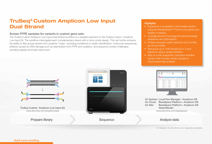# TruSeq® Custom Amplicon Low Input Dual Strand

### Screen FFPE samples for variants in custom gene sets.

The TruSeq Custom Amplicon Low Input Dual Strand workflow is a valuable extension to the TruSeq Custom Amplicon Low Input Kit. The workflow interrogates each complementary strand with a mirror probe design. This can further enhance the ability to filter actual variants from systemic "noise," providing confidence in variant identification. Overcome sequencing artifacts caused by DNA damage such as deamination from FFPE and oxidation, and sequence context challenges, including repeats and base-read errors.

- Experience a completely customizable solution using the DesignStudio™ Tool for your genes and targets of interest.
- Leverage Illumina Concierge for personal design assistance and optimization.
- Achieve accurate variant detection from as little as 20 ng of DNA.
- Sequence up to 1536 amplicons in 2 pool reactions using a simple workflow.
- Rely on a fully supported, optimized workflow solution that includes simple onboard or cloud-based data analysis.

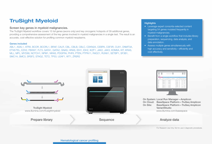## TruSight Myeloid

#### Screen key genes in myeloid malignancies.

The TruSight Myeloid workflow covers 15 full genes (exons only) and key oncogenic hotspots of 39 additional genes, providing a comprehensive assessment of the key genes involved in myeloid malignancies in a single test. The result is an accurate, cost-effective solution for profiling common myeloid neoplasms.

#### Genes included

ABL1, ASXL1, ATRX, BCOR, BCORL1, BRAF, CALR, CBL, CBLB, CBLC, CDKN2A, CEBPA, CSF3R, CUX1, DNMT3A, ETV6/TEL, EZH2, FBXW7, FLT3, GATA1, GATA2, GNAS, HRAS, IDH1, IDH2, IKZF1, JAK2, JAK3, KDM6A, KIT, KRAS, MLL, MPL, MYD88, NOTCH1, NPM1, NRAS, PDGFRA, PHF6, PTEN, PTPN11, RAD21, RUNX1, SETBP1, SF3B1, SMC1A, SMC3, SRSF2, STAG2, TET2, TP53, U2AF1, WT1, ZRSR2

- Leverage expert consortia-selected content targeting 54 genes mutated frequently in myeloid malignancies.
- Benefit from a single workflow that includes library preparation, sequencing, data analysis, and data annotation.
- Assess multiple genes simultaneously with high accuracy and sensitivity—efficiently and cost effectively.

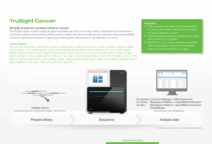### TruSight Cancer

#### Broadly screen for variants linked to cancer.

The TruSight Cancer workflow targets 94 genes associated with both common (eg, breast, colorectal) and rare cancers and 284 single nucleotide polymorphisms (SNPs) found to correlate with cancer through genome-wide association studies (GWAS). Conduct comprehensive evaluation of genes that contain genetic variants linked to a predisposition for cancer.

#### Genes included

AIP, ALK, APC, ATM, BAP1, BLM, BMPR1A, BRCA1, BRCA2, BRIP1, BUB1B, CDC73, CDH1, CDK4, CDKN1C, CDKN2A, CEBPA, CEP57, CHEK2, CYLD, DDB2, DICER1, DIS3L2, EGFR, EPCAM, ERCC2, ERCC3, ERCC4, ERCC5, EXT1, EXT2, EZH2, FANCA, FANCB, FANCC, FANCD2, FANCE, FANCF, FANCG, FANCI, FANCL, FANCM, FH, FLCN, GATA2, GPC3, HNF1A, HRAS, KIT, MAX, MEN1, MET, MLH1, MSH2, MSH6, MUTYH, NBN, NF1, NF2, NSD1, PALB2, PHOX2B, PMS1, PMS2, PRF1, PRKAR1A, PTCH1, PTEN, RAD51C, RAD51D, RB1, RECQL4, RET, RHBDF2, RUNX1, SBDS, SDHAF2, SDHB, SDHC, SDHD, SLX4, SMAD4, SMARCB1, STK11, SUFU, TMEM127, TP53, TSC1, TSC2, VHL, WRN, WT1, XPA, XPC

#### **Highlights**

- Capture genes associated with a predisposition for cancer with content selected by the Institute of Cancer Research, London.
- Preserve precious samples, achieving data quality with as little as 50 ng of DNA.
- Benefit from a fast, simple workflow compatible with TruSight Rapid Capture Kits that enables library prep and enrichment in 1.5 days.



#### Germline testing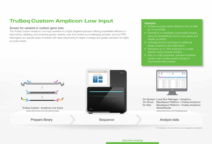# TruSeq Custom Amplicon Low Input

#### Screen for variants in custom gene sets.

The TruSeq Custom Amplicon Low Input workflow is a highly targeted approach offering unparalleled efficiency in discovering, validating, and screening genetic variants, even from limited and challenging samples, such as FFPE. Interrogate your specific areas of interest with deep sequencing for higher coverage and greater resolution for highly accurate results.

- Achieve accurate variant detection from as little as 10 ng of DNA.
- Experience a completely customizable solution using the DesignStudio Tool for your genes and targets of interest.
- Leverage Illumina Concierge for additional design assistance and optimization.
- Sequence up to 1536 amplicons in a single reaction using a simple workflow.
- Rely on a fully supported, optimized workflow solution that includes simple onboard or cloud-based data analysis.

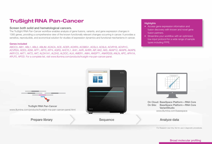# TruSight RNA Pan-Cancer

#### Screen both solid and hematological cancers.

The TruSight RNA Pan-Cancer workflow enables analysis of gene fusions, variants, and gene expression changes in 1385 genes, providing a comprehensive view of the known functionally relevant changes occurring in cancer. It provides a sensitive, reproducible, and economical solution for studies of expression dynamics and functional mechanisms in cancer.

#### Genes included

ABCC3, ABI1, ABL1, ABL2, ABLIM, ACACA, ACE, ACER, ACKR3, ACSBG1, ACSL3, ACSL6, ACVR1B, ACVR1C, ACVR2A, ADD3, ADM, AFF1, AFF3, AFF4, AGR3, AHCYL1, AHI1, AHR, AHRR, AIP, AK2, AK5, AKAP12, AKAP6, AKAP9, AKR1C3, AKT1, AKT2, AKT, ALDH1A1, ALDH2, ALDOC, ALK, AMER1, AMH, ANGPT1, ANKRD28, ANLN, APC, APH1A, APLP2, APOD. For a complete list, visit www.illumina.com/products/trusight-rna-pan-cancer-panel.

#### **Highlights**

- Access gene expression information and fusion discovery with known and novel gene fusion partners.
- Streamline your workflow with an optimized, low-input protocol for a wide range of sample types including FFPE.



#### Broad molecular profiling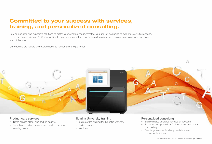# Committed to your success with services, training, and personalized consulting.

Rely on accurate and expedient solutions to match your evolving needs. Whether you are just beginning to evaluate your NGS options, or you are an experienced NGS user looking to access more strategic consulting alternatives, we have services to support you every step of the way.

Our offerings are flexible and customizable to fit your lab's unique needs.



#### Product care services

- Tiered service plans, plus add-on options
- Compliance and on-demand services to meet your evolving needs

### Illumina University training

- Instructor-led training for the entire workflow
- Online courses
- Webinars

### Personalized consulting

- Bioinformatics guidance for ease of adoption
- Proof-of-concept services for instrument and library prep testing
- Concierge services for design assistance and product optimization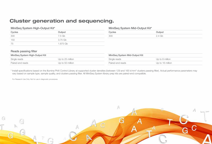## Cluster generation and sequencing.

| MiniSeq System High-Output Kit* |                  | MiniSeq System Mid-Output Kit* |                  |
|---------------------------------|------------------|--------------------------------|------------------|
| Cycles                          | Output           | Cycles                         | Output           |
| 300                             | 7.5 Gb           | 300                            | 2.4 Gb           |
| 150                             | 3.75 Gb          |                                |                  |
| 75                              | 1.875 Gb         |                                |                  |
|                                 |                  |                                |                  |
| Reads passing filter            |                  |                                |                  |
| MiniSeq System High-Output Kit  |                  | MiniSeq System Mid-Output Kit  |                  |
| Single reads                    | Up to 25 million | Single reads                   | Up to 8 million  |
| Paired-end reads                | Up to 50 million | Paired-end reads               | Up to 16 million |
|                                 |                  |                                |                  |

\* Install specifications based on the Illumina PhiX Control Library at supported cluster densities (between 129 and 165 k/mm<sup>2</sup> clusters passing filter). Actual performance parameters may vary based on sample type, sample quality, and clusters passing filter. All MiniSeq System library prep kits are paired-end compatible.

For Research Use Only. Not for use in diagnostic procedures.